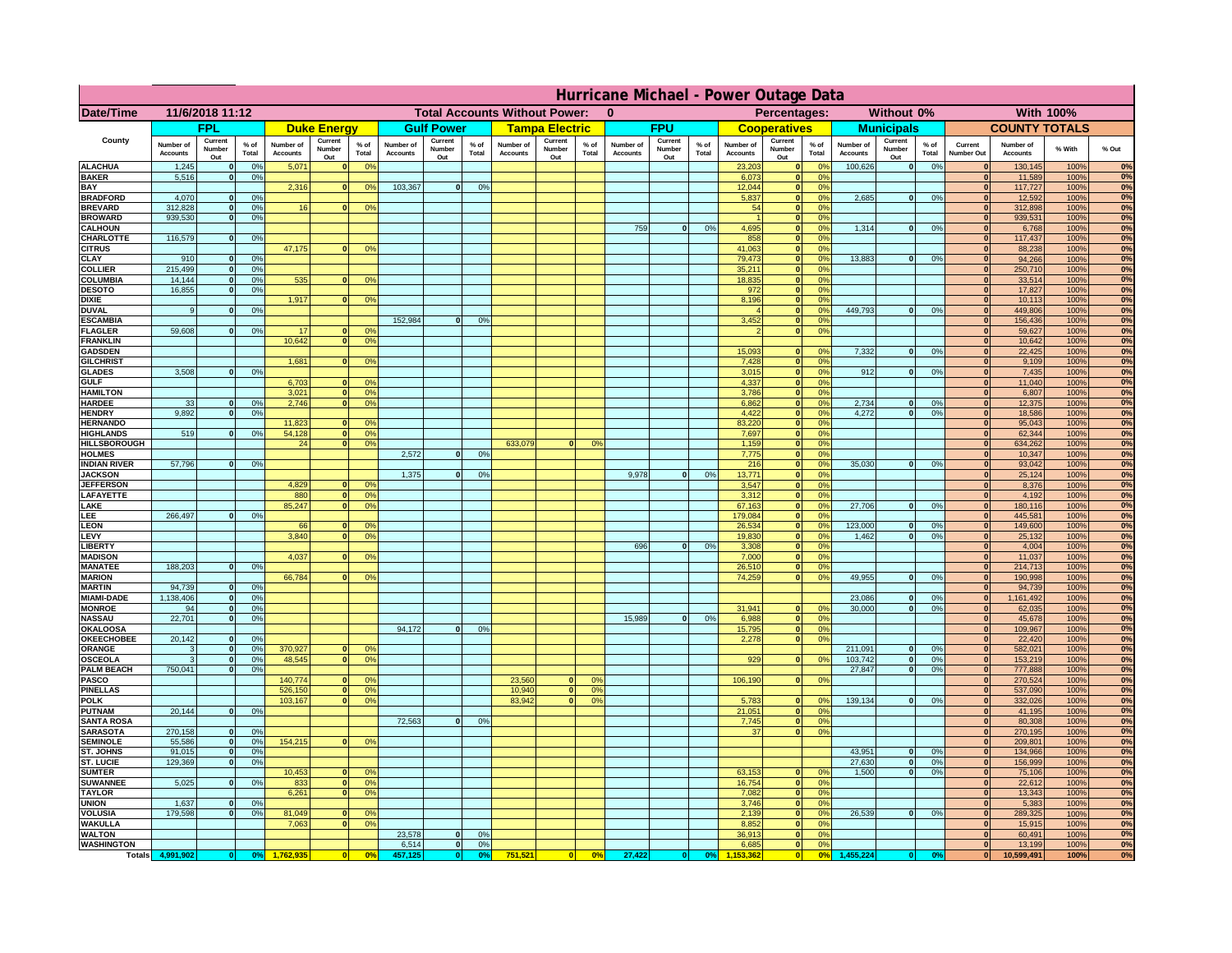|                                      | Hurricane Michael - Power Outage Data |                              |                |                              |                                 |                                                      |                              |                          |                 |                              |                            |                                  |                              |                          |                |                              |                          |                                                                   |                              |                              |                 |                              |                              |              |          |
|--------------------------------------|---------------------------------------|------------------------------|----------------|------------------------------|---------------------------------|------------------------------------------------------|------------------------------|--------------------------|-----------------|------------------------------|----------------------------|----------------------------------|------------------------------|--------------------------|----------------|------------------------------|--------------------------|-------------------------------------------------------------------|------------------------------|------------------------------|-----------------|------------------------------|------------------------------|--------------|----------|
| Date/Time                            | 11/6/2018 11:12                       |                              |                |                              |                                 | <b>Total Accounts Without Power:</b><br>$\mathbf{0}$ |                              |                          |                 |                              | Without 0%<br>Percentages: |                                  |                              |                          |                |                              | <b>With 100%</b>         |                                                                   |                              |                              |                 |                              |                              |              |          |
|                                      |                                       | <b>FPL</b>                   |                |                              | <b>Duke Energy</b>              |                                                      |                              | <b>Gulf Power</b>        |                 |                              | <b>Tampa Electric</b>      |                                  |                              | <b>FPU</b>               |                |                              | <b>Cooperatives</b>      |                                                                   |                              | <b>Municipals</b>            |                 |                              | <b>COUNTY TOTALS</b>         |              |          |
| County                               | Number of<br><b>Accounts</b>          | Current<br>Number<br>Out     | % of<br>Total  | Number of<br><b>Accounts</b> | Current<br><b>Number</b><br>Out | $%$ of<br>Total                                      | Number of<br><b>Accounts</b> | Current<br>Number<br>Out | $%$ of<br>Total | Number of<br><b>Accounts</b> | Current<br>Number<br>Out   | $%$ of<br>Total                  | Number of<br><b>Accounts</b> | Current<br>Number<br>Out | % of<br>Total  | Number of<br><b>Accounts</b> | Current<br>Number<br>Out | % of<br>Total                                                     | Number of<br><b>Accounts</b> | Current<br>Number<br>Out     | $%$ of<br>Total | Current<br>Number Out        | Number of<br><b>Accounts</b> | % With       | % Out    |
| <b>ALACHUA</b>                       | 1,245                                 | $\Omega$                     | 0%             | 5,071                        | $\Omega$                        | 0 <sup>9</sup>                                       |                              |                          |                 |                              |                            |                                  |                              |                          |                | 23,203                       |                          | 0%<br> 0                                                          | 100,626                      | 0                            | 0%              | $\Omega$                     | 130,145                      | 100%         | 0%       |
| <b>BAKER</b><br>BAY                  | 5,516                                 | 0                            | 0%             | 2,316                        | $\Omega$                        | 0 <sup>o</sup>                                       | 103,367                      | 0                        | 0%              |                              |                            |                                  |                              |                          |                | 6,073<br>12,044              |                          | 0%<br> 0 <br>0%<br> 0                                             |                              |                              |                 | 0 <br> 0                     | 11,589<br>117,727            | 100%<br>100% | 0%<br>0% |
| <b>BRADFORD</b>                      | 4,070                                 | $\mathbf{0}$                 | 0 <sup>9</sup> |                              |                                 |                                                      |                              |                          |                 |                              |                            |                                  |                              |                          |                | 5,837                        |                          | 0%<br> 0                                                          | 2,685                        | 0                            | 0%              | 0                            | 12,592                       | 100%         | 0%       |
| <b>BREVARD</b><br><b>BROWARD</b>     | 312,828<br>939,530                    | 0                            | 0%<br>0%       | 16                           | ΩI                              | 0 <sup>o</sup>                                       |                              |                          |                 |                              |                            |                                  |                              |                          |                | 54                           |                          | 0 <sup>9</sup><br> 0 <br>0 <sup>9</sup><br> 0                     |                              |                              |                 | 0 <br>$\mathbf{0}$           | 312,898                      | 100%         | 0%<br>0% |
| <b>CALHOUN</b>                       |                                       | 0                            |                |                              |                                 |                                                      |                              |                          |                 |                              |                            |                                  | 759                          | 0                        | 0%             | 4,695                        |                          | $\mathbf{0}$<br>0 <sup>9</sup>                                    | 1,314                        | 0                            | 0%              | 0                            | 939,531<br>6,768             | 100%<br>100% | 0%       |
| CHARLOTTE                            | 116,579                               | 0                            | 0%             |                              |                                 |                                                      |                              |                          |                 |                              |                            |                                  |                              |                          |                | 858                          |                          | 0 <br>0%                                                          |                              |                              |                 | 0                            | 117,437                      | 100%         | 0%       |
| <b>CITRUS</b><br><b>CLAY</b>         | 910                                   | $\Omega$                     | 0 <sup>9</sup> | 47,175                       | n.                              | 0 <sup>9</sup>                                       |                              |                          |                 |                              |                            |                                  |                              |                          |                | 41,063<br>79.473             |                          | 0 <br>0 <sup>9</sup><br> 0 <br>0%                                 | 13,883                       | $\overline{0}$               | 0%              | $\Omega$<br>$\mathbf{0}$     | 88,238<br>94,266             | 100%<br>100% | 0%<br>0% |
| <b>COLLIER</b>                       | 215,499                               | $\mathbf{0}$                 | 0%             |                              |                                 |                                                      |                              |                          |                 |                              |                            |                                  |                              |                          |                | 35,211                       |                          | 0 <br>0%                                                          |                              |                              |                 | $\mathbf{0}$                 | 250,710                      | 100%         | 0%       |
| COLUMBIA                             | 14,144                                | $\mathbf{0}$                 | 0%             | 535                          |                                 | 0 <sup>9</sup>                                       |                              |                          |                 |                              |                            |                                  |                              |                          |                | 18,835                       |                          | 0%<br> 0                                                          |                              |                              |                 | 0                            | 33,514                       | 100%         | 0%       |
| <b>DESOTO</b><br><b>DIXIE</b>        | 16,855                                | $\Omega$                     | 0%             | 1,917                        |                                 | 0 <sup>o</sup>                                       |                              |                          |                 |                              |                            |                                  |                              |                          |                | 972<br>8,196                 |                          | 0%<br> 0 <br> 0 <br>0 <sup>9</sup>                                |                              |                              |                 | $\mathbf{0}$<br>$\mathbf{0}$ | 17,827<br>10.113             | 100%<br>100% | 0%<br>0% |
| <b>DUVAL</b>                         | $\mathbf{q}$                          |                              | 0 <sup>9</sup> |                              |                                 |                                                      |                              |                          |                 |                              |                            |                                  |                              |                          |                |                              |                          | 0 <sup>9</sup><br> 0                                              | 449,793                      | $\mathbf{0}$                 | 0%              | $\mathbf{0}$                 | 449,806                      | 100%         | 0%       |
| <b>ESCAMBIA</b>                      |                                       |                              |                |                              |                                 |                                                      | 152,984                      | $\mathbf{0}$             | 0%              |                              |                            |                                  |                              |                          |                | 3,452                        |                          | 0 <sup>9</sup><br> 0                                              |                              |                              |                 | $\mathbf{0}$                 | 156,436                      | 100%         | 0%       |
| <b>FLAGLER</b><br><b>FRANKLIN</b>    | 59,608                                |                              | 0%             | 17<br>10,642                 |                                 | 0 <sup>o</sup><br>0 <sup>9</sup>                     |                              |                          |                 |                              |                            |                                  |                              |                          |                |                              |                          | 0 <br>0 <sup>9</sup>                                              |                              |                              |                 | $\mathbf{0}$                 | 59,627<br>10,642             | 100%<br>100% | 0%<br>0% |
| <b>GADSDEN</b>                       |                                       |                              |                |                              |                                 |                                                      |                              |                          |                 |                              |                            |                                  |                              |                          |                | 15,093                       | $\mathbf{0}$             | 0 <sup>9</sup>                                                    | 7,332                        | 0                            | 0%              | $\mathbf{0}$                 | 22,425                       | 100%         | 0%       |
| <b>GILCHRIST</b>                     |                                       |                              |                | 1,681                        |                                 | 0 <sup>9</sup>                                       |                              |                          |                 |                              |                            |                                  |                              |                          |                | 7,428                        |                          | 0 <br>0 <sup>9</sup>                                              |                              |                              |                 | $\mathbf{0}$                 | 9,109                        | 100%         | 0%       |
| <b>GLADES</b><br><b>GULF</b>         | 3,508                                 | $\Omega$                     | 0 <sup>9</sup> | 6,703                        |                                 | 0 <sup>9</sup>                                       |                              |                          |                 |                              |                            |                                  |                              |                          |                | 3,015<br>4,337               |                          | 0 <br>0%<br> 0 <br>0%                                             | 912                          | 0                            | 0%              | 0 <br> 0                     | 7,435<br>11,040              | 100%<br>100% | 0%<br>0% |
| <b>HAMILTON</b>                      |                                       |                              |                | 3,021                        |                                 | 0 <sup>9</sup>                                       |                              |                          |                 |                              |                            |                                  |                              |                          |                | 3,786                        |                          | 0 <br>0%                                                          |                              |                              |                 | 0                            | 6,807                        | 100%         | 0%       |
| <b>HARDEE</b>                        | 33<br>9,892                           | $\mathbf{0}$<br>$\Omega$     | 0%             | 2,746                        |                                 | 0 <sup>9</sup>                                       |                              |                          |                 |                              |                            |                                  |                              |                          |                | 6,862                        |                          | 0 <br>0%<br>$\overline{\mathbf{0}}$<br>0%                         | 2,734<br>4,272               | 0                            | 0%              | 0 <br> 0                     | 12,375                       | 100%         | 0%       |
| <b>HENDRY</b><br><b>HERNANDO</b>     |                                       |                              | 0%             | 11,823                       |                                 | 0 <sup>9</sup>                                       |                              |                          |                 |                              |                            |                                  |                              |                          |                | 4,422<br>83,220              |                          | 0 <br>0%                                                          |                              | 0                            | 0%              | 0                            | 18,586<br>95,043             | 100%<br>100% | 0%<br>0% |
| <b>HIGHLANDS</b>                     | 519                                   | $\Omega$                     | 0%             | 54,128                       | $\Omega$                        | 0 <sup>9</sup>                                       |                              |                          |                 |                              |                            |                                  |                              |                          |                | 7,697                        |                          | 0 <br>0%                                                          |                              |                              |                 | 0                            | 62,344                       | 100%         | 0%       |
| HILLSBOROUGH                         |                                       |                              |                | 24                           |                                 | 0 <sup>9</sup>                                       | 2,572                        | $\mathbf{0}$             |                 | 633,079                      | $\Omega$                   | 0 <sup>o</sup>                   |                              |                          |                | 1,159                        |                          | 0 <br>0%                                                          |                              |                              |                 | 0                            | 634,262                      | 100%         | 0%<br>0% |
| <b>HOLMES</b><br><b>INDIAN RIVER</b> | 57,796                                |                              | 0%             |                              |                                 |                                                      |                              |                          | 0%              |                              |                            |                                  |                              |                          |                | 7,775<br>216                 |                          | 0 <br>0%<br> 0 <br>0 <sup>9</sup>                                 | 35,030                       | 0                            | 0%              | 0 <br> 0                     | 10,347<br>93,042             | 100%<br>100% | 0%       |
| <b>JACKSON</b>                       |                                       |                              |                |                              |                                 |                                                      | 1,375                        | n l                      | 0 <sup>9</sup>  |                              |                            |                                  | 9.978                        |                          | 0 <sup>9</sup> | 13,771                       |                          | 0 <br>0 <sup>9</sup>                                              |                              |                              |                 | 0                            | 25,124                       | 100%         | 0%       |
| <b>JEFFERSON</b><br><b>LAFAYETTE</b> |                                       |                              |                | 4,829<br>880                 |                                 | 0 <sup>9</sup><br>0%                                 |                              |                          |                 |                              |                            |                                  |                              |                          |                | 3,547<br>3,312               |                          | 0 <br>0 <sup>9</sup><br>$\overline{\mathbf{0}}$<br>0 <sup>9</sup> |                              |                              |                 | 0 <br> 0                     | 8,376<br>4,192               | 100%<br>100% | 0%<br>0% |
| LAKE                                 |                                       |                              |                | 85,247                       |                                 | 0 <sup>o</sup>                                       |                              |                          |                 |                              |                            |                                  |                              |                          |                | 67,163                       |                          | 0 <br>0 <sup>9</sup>                                              | 27,706                       | $\mathbf{a}$                 | 0%              | 0                            | 180,116                      | 100%         | 0%       |
| LEE                                  | 266,497                               |                              | 0%             |                              |                                 |                                                      |                              |                          |                 |                              |                            |                                  |                              |                          |                | 179.084                      |                          | $\mathbf{0}$<br>0%                                                |                              |                              |                 | 0                            | 445.581                      | 100%         | 0%       |
| <b>LEON</b><br>LEVY                  |                                       |                              |                | 66<br>3,840                  |                                 | 0 <sup>9</sup><br>0 <sup>9</sup>                     |                              |                          |                 |                              |                            |                                  |                              |                          |                | 26,534<br>19,830             |                          | 0 <br>0%<br> 0 <br>0%                                             | 123,000<br>1,462             | $\mathbf{0}$<br>$\mathbf{0}$ | 0%<br>0%        | 0 <br> 0                     | 149,600<br>25,132            | 100%<br>100% | 0%<br>0% |
| LIBERTY                              |                                       |                              |                |                              |                                 |                                                      |                              |                          |                 |                              |                            |                                  | 696                          | <sub>n</sub>             | 0%             | 3,308                        |                          | 0 <br>0%                                                          |                              |                              |                 | 0                            | 4,004                        | 100%         | 0%       |
| <b>MADISON</b>                       |                                       |                              |                | 4,037                        |                                 | 0 <sup>o</sup>                                       |                              |                          |                 |                              |                            |                                  |                              |                          |                | 7,000                        |                          | 0 <br>0%                                                          |                              |                              |                 | 0                            | 11,037                       | 100%         | 0%       |
| <b>MANATEE</b><br><b>MARION</b>      | 188,203                               | $\mathbf{0}$                 | 0%             | 66,784                       |                                 | 0 <sup>o</sup>                                       |                              |                          |                 |                              |                            |                                  |                              |                          |                | 26,510<br>74,259             |                          | 0 <br>0%<br>0%<br> 0                                              | 49,955                       | $\mathbf{0}$                 | 0%              | 0 <br> 0                     | 214,713<br>190,998           | 100%<br>100% | 0%<br>0% |
| <b>MARTIN</b>                        | 94,739                                | $\mathbf{0}$                 | 0%             |                              |                                 |                                                      |                              |                          |                 |                              |                            |                                  |                              |                          |                |                              |                          |                                                                   |                              |                              |                 | 0                            | 94,739                       | 100%         | $0\%$    |
| <b>MIAMI-DADE</b>                    | 1,138,406                             | 0                            | 0%             |                              |                                 |                                                      |                              |                          |                 |                              |                            |                                  |                              |                          |                |                              |                          |                                                                   | 23,086                       | $\Omega$                     | 0%              | 0                            | 1,161,492                    | 100%         | 0%       |
| <b>MONROE</b><br><b>NASSAU</b>       | 94<br>22,701                          | 0<br> 0                      | 0%<br>0%       |                              |                                 |                                                      |                              |                          |                 |                              |                            |                                  | 15,989                       | 0                        | 0%             | 31,941<br>6,988              |                          | $\mathbf{0}$<br>$^{\circ}$<br> 0 <br>0%                           | 30,000                       | $\Omega$                     | 0%              | 0 <br>$\mathbf{0}$           | 62,035<br>45,678             | 100%<br>100% | 0%<br>0% |
| OKALOOSA                             |                                       |                              |                |                              |                                 |                                                      | 94,172                       | 0                        | 0%              |                              |                            |                                  |                              |                          |                | 15,795                       |                          | 0 <br>0%                                                          |                              |                              |                 | $\mathbf{0}$                 | 109,967                      | 100%         | 0%       |
| <b>OKEECHOBEE</b>                    | 20,142                                | 0                            | 0%<br>0%       | 370,927                      |                                 |                                                      |                              |                          |                 |                              |                            |                                  |                              |                          |                | 2,278                        |                          | 0%<br> 0                                                          | 211,091                      |                              |                 | 0                            | 22,420                       | 100%         | 0%<br>0% |
| ORANGE<br><b>OSCEOLA</b>             | 3<br>3                                | 0 <br> 0                     | 0%             | 48,545                       | $\Omega$                        | 0 <sup>9</sup><br>0 <sup>9</sup>                     |                              |                          |                 |                              |                            |                                  |                              |                          |                | 929                          |                          | 0 <br>0%                                                          | 103,742                      | 0 <br> 0                     | 0%<br>0%        | 0 <br> 0                     | 582,021<br>153,219           | 100%<br>100% | 0%       |
| <b>PALM BEACH</b>                    | 750,041                               | 0                            | 0%             |                              |                                 |                                                      |                              |                          |                 |                              |                            |                                  |                              |                          |                |                              |                          |                                                                   | 27,847                       | 0                            | 0%              | 0                            | 777,888                      | 100%         | 0%       |
| <b>PASCO</b><br><b>PINELLAS</b>      |                                       |                              |                | 140,774<br>526,150           | $\Omega$                        | 0 <sup>9</sup><br>0%                                 |                              |                          |                 | 23,560<br>10,940             | $\mathbf{0}$<br> 0         | O <sup>o</sup><br>0 <sup>9</sup> |                              |                          |                | 106,190                      |                          | 0%<br> 0                                                          |                              |                              |                 | 0 <br> 0                     | 270,524<br>537,090           | 100%<br>100% | 0%<br>0% |
| <b>POLK</b>                          |                                       |                              |                | 103,167                      | $\Omega$                        | 0 <sup>9</sup>                                       |                              |                          |                 | 83,942                       | 0                          | 0 <sup>o</sup>                   |                              |                          |                | 5,783                        |                          | 0 <br>0 <sup>°</sup>                                              | 139,134                      | 0                            | 0%              | 0                            | 332,026                      | 100%         | 0%       |
| <b>PUTNAM</b>                        | 20,144                                | 0                            | 0%             |                              |                                 |                                                      |                              |                          |                 |                              |                            |                                  |                              |                          |                | 21,051                       |                          | 0%<br> 0                                                          |                              |                              |                 | 0                            | 41,195                       | 100%         | 0%       |
| <b>SANTA ROSA</b><br><b>SARASOTA</b> | 270,158                               | 0                            | 0 <sup>9</sup> |                              |                                 |                                                      | 72,563                       | 0                        | 0%              |                              |                            |                                  |                              |                          |                | 7,745<br>37                  |                          | 0%<br> 0 <br>0%<br> 0                                             |                              |                              |                 | 0 <br> 0                     | 80,308                       | 100%<br>100% | 0%<br>0% |
| <b>SEMINOLE</b>                      | 55,586                                | 0                            | 0 <sup>9</sup> | 154,215                      | $\mathbf{0}$                    | 0 <sup>9</sup>                                       |                              |                          |                 |                              |                            |                                  |                              |                          |                |                              |                          |                                                                   |                              |                              |                 | $\mathbf{0}$                 | 270,195<br>209,801           | 100%         | 0%       |
| ST. JOHNS                            | 91,015                                | 0                            | 0%             |                              |                                 |                                                      |                              |                          |                 |                              |                            |                                  |                              |                          |                |                              |                          |                                                                   | 43,951                       | 0                            | 0%              | $\mathbf{0}$                 | 134,966                      | 100%         | 0%       |
| <b>ST. LUCIE</b><br><b>SUMTER</b>    | 129,369                               | $\mathbf{0}$                 | 0%             | 10,453                       | n                               | 0 <sup>9</sup>                                       |                              |                          |                 |                              |                            |                                  |                              |                          |                | 63,153                       |                          | 0 <sup>9</sup><br> 0                                              | 27,630<br>1.500              | 0 <br> 0                     | 0%<br>0%        | 0 <br> 0                     | 156,999<br>75,106            | 100%<br>100% | 0%<br>0% |
| <b>SUWANNEE</b>                      | 5,025                                 | $\mathbf{0}$                 | 0%             | 833                          | $\mathbf{0}$                    | 0 <sup>9</sup>                                       |                              |                          |                 |                              |                            |                                  |                              |                          |                | 16,754                       |                          | 0 <br>0%                                                          |                              |                              |                 | 0                            | 22,612                       | 100%         | 0%       |
| <b>TAYLOR</b>                        |                                       |                              |                | 6,261                        |                                 | 0 <sup>9</sup>                                       |                              |                          |                 |                              |                            |                                  |                              |                          |                | 7,082                        |                          | 0%<br> 0                                                          |                              |                              |                 | 0                            | 13,343                       | 100%         | 0%       |
| <b>UNION</b><br><b>VOLUSIA</b>       | 1.637<br>179.598                      | $\mathbf{0}$<br>$\mathbf{0}$ | 0%<br>0%       | 81,049                       |                                 | 0 <sup>9</sup>                                       |                              |                          |                 |                              |                            |                                  |                              |                          |                | 3.746<br>2.139               |                          | 0 <br>0%<br> 0 <br>0%                                             | 26,539                       | $\overline{0}$               | 0%              | $\mathbf{0}$<br>$\mathbf{0}$ | 5,383<br>289,325             | 100%<br>100% | 0%<br>0% |
| <b>WAKULLA</b>                       |                                       |                              |                | 7,063                        |                                 | 0 <sup>o</sup>                                       |                              |                          |                 |                              |                            |                                  |                              |                          |                | 8,852                        |                          | 0%<br> 0                                                          |                              |                              |                 | 0                            | 15,915                       | 100%         | 0%       |
| <b>WALTON</b>                        |                                       |                              |                |                              |                                 |                                                      | 23,578                       | 0                        | 0 <sup>9</sup>  |                              |                            |                                  |                              |                          |                | 36,913                       |                          | 0 <br>0%                                                          |                              |                              |                 | 0                            | 60,491                       | 100%         | $0\%$    |
| <b>WASHINGTON</b><br><b>Totals</b>   | 4,991,902                             | 0                            | 0 <sup>9</sup> |                              |                                 | 0 <sup>5</sup>                                       | 6,514<br>457,125             | 0 <br> 0                 | 0%<br>0%        | 751,521                      | 0                          | 0%                               | 27,422                       | 0                        | 0%             | 6,685                        |                          | 0 <br>0%<br> 0 <br>0 <sup>6</sup>                                 | 1,455,224                    |                              |                 | $\mathbf{0}$<br> 0           | 13,199<br>10,599,491         | 100%<br>100% | 0%<br>0% |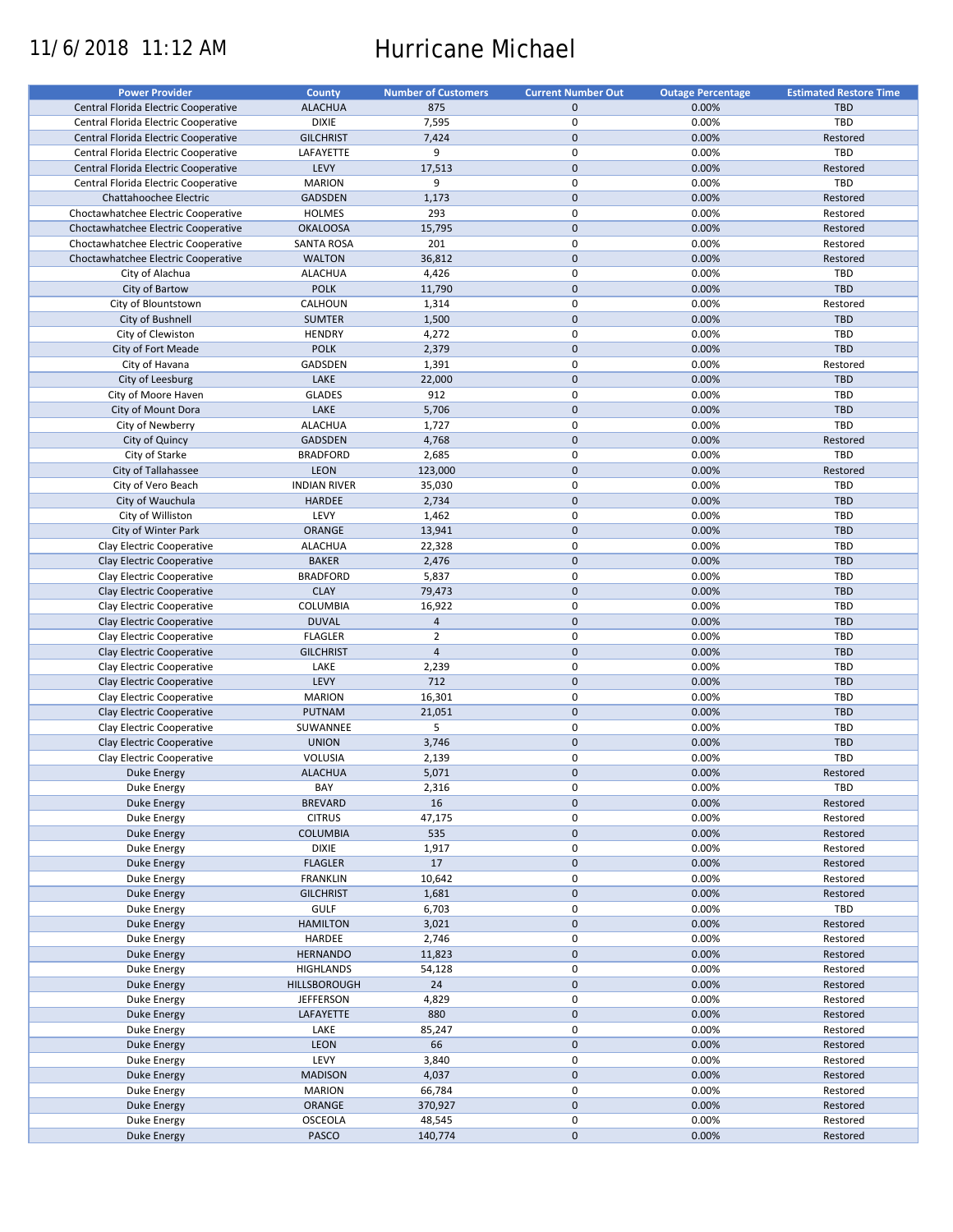# 11/6/2018 11:12 AM Hurricane Michael

| <b>Power Provider</b>                | <b>County</b>       | <b>Number of Customers</b> | <b>Current Number Out</b> | <b>Outage Percentage</b> | <b>Estimated Restore Time</b> |
|--------------------------------------|---------------------|----------------------------|---------------------------|--------------------------|-------------------------------|
| Central Florida Electric Cooperative | <b>ALACHUA</b>      | 875                        | $\mathbf{0}$              | 0.00%                    | <b>TBD</b>                    |
| Central Florida Electric Cooperative | <b>DIXIE</b>        | 7,595                      | $\mathbf 0$               | 0.00%                    | TBD                           |
|                                      |                     |                            | $\mathbf{0}$              |                          |                               |
| Central Florida Electric Cooperative | <b>GILCHRIST</b>    | 7,424                      |                           | 0.00%                    | Restored                      |
| Central Florida Electric Cooperative | LAFAYETTE           | 9                          | $\mathbf 0$               | 0.00%                    | TBD                           |
| Central Florida Electric Cooperative | LEVY                | 17,513                     | $\mathbf 0$               | 0.00%                    | Restored                      |
| Central Florida Electric Cooperative | <b>MARION</b>       | 9                          | $\pmb{0}$                 | 0.00%                    | TBD                           |
| Chattahoochee Electric               | <b>GADSDEN</b>      | 1,173                      | $\pmb{0}$                 | 0.00%                    | Restored                      |
| Choctawhatchee Electric Cooperative  | <b>HOLMES</b>       | 293                        | $\pmb{0}$                 | 0.00%                    | Restored                      |
| Choctawhatchee Electric Cooperative  | <b>OKALOOSA</b>     | 15,795                     | $\pmb{0}$                 | 0.00%                    | Restored                      |
| Choctawhatchee Electric Cooperative  | <b>SANTA ROSA</b>   | 201                        | $\pmb{0}$                 | 0.00%                    | Restored                      |
| Choctawhatchee Electric Cooperative  | <b>WALTON</b>       | 36,812                     | $\pmb{0}$                 | 0.00%                    | Restored                      |
| City of Alachua                      | <b>ALACHUA</b>      | 4,426                      | $\pmb{0}$                 | 0.00%                    | TBD                           |
|                                      | <b>POLK</b>         |                            | $\mathbf 0$               |                          | TBD                           |
| City of Bartow                       |                     | 11,790                     |                           | 0.00%                    |                               |
| City of Blountstown                  | CALHOUN             | 1,314                      | $\pmb{0}$                 | 0.00%                    | Restored                      |
| City of Bushnell                     | <b>SUMTER</b>       | 1,500                      | $\mathbf{0}$              | 0.00%                    | TBD                           |
| City of Clewiston                    | <b>HENDRY</b>       | 4,272                      | $\pmb{0}$                 | 0.00%                    | TBD                           |
| City of Fort Meade                   | <b>POLK</b>         | 2,379                      | $\mathbf 0$               | 0.00%                    | TBD                           |
| City of Havana                       | GADSDEN             | 1,391                      | $\pmb{0}$                 | 0.00%                    | Restored                      |
| City of Leesburg                     | LAKE                | 22,000                     | $\mathbf{0}$              | 0.00%                    | TBD                           |
| City of Moore Haven                  | <b>GLADES</b>       | 912                        | $\pmb{0}$                 | 0.00%                    | TBD                           |
| City of Mount Dora                   | LAKE                | 5,706                      | $\mathbf 0$               | 0.00%                    | <b>TBD</b>                    |
|                                      | <b>ALACHUA</b>      | 1,727                      | $\pmb{0}$                 | 0.00%                    | TBD                           |
| City of Newberry                     |                     |                            |                           |                          |                               |
| City of Quincy                       | <b>GADSDEN</b>      | 4,768                      | $\pmb{0}$                 | 0.00%                    | Restored                      |
| City of Starke                       | <b>BRADFORD</b>     | 2,685                      | $\pmb{0}$                 | 0.00%                    | TBD                           |
| City of Tallahassee                  | <b>LEON</b>         | 123,000                    | $\mathbf 0$               | 0.00%                    | Restored                      |
| City of Vero Beach                   | <b>INDIAN RIVER</b> | 35,030                     | $\mathbf 0$               | 0.00%                    | TBD                           |
| City of Wauchula                     | <b>HARDEE</b>       | 2,734                      | $\mathbf 0$               | 0.00%                    | TBD                           |
| City of Williston                    | LEVY                | 1,462                      | $\pmb{0}$                 | 0.00%                    | TBD                           |
| City of Winter Park                  | ORANGE              | 13,941                     | $\mathbf 0$               | 0.00%                    | TBD                           |
| Clay Electric Cooperative            | <b>ALACHUA</b>      | 22,328                     | $\pmb{0}$                 | 0.00%                    | TBD                           |
|                                      |                     |                            | $\mathbf 0$               |                          |                               |
| Clay Electric Cooperative            | <b>BAKER</b>        | 2,476                      |                           | 0.00%                    | <b>TBD</b>                    |
| Clay Electric Cooperative            | <b>BRADFORD</b>     | 5,837                      | $\pmb{0}$                 | 0.00%                    | TBD                           |
| Clay Electric Cooperative            | <b>CLAY</b>         | 79,473                     | $\mathbf 0$               | 0.00%                    | <b>TBD</b>                    |
| Clay Electric Cooperative            | COLUMBIA            | 16,922                     | $\mathbf 0$               | 0.00%                    | TBD                           |
| Clay Electric Cooperative            | <b>DUVAL</b>        | $\overline{4}$             | $\mathbf 0$               | 0.00%                    | <b>TBD</b>                    |
| Clay Electric Cooperative            | <b>FLAGLER</b>      | $\overline{2}$             | $\pmb{0}$                 | 0.00%                    | TBD                           |
| Clay Electric Cooperative            | <b>GILCHRIST</b>    | $\sqrt{4}$                 | $\mathbf 0$               | 0.00%                    | <b>TBD</b>                    |
| Clay Electric Cooperative            | LAKE                | 2,239                      | $\mathbf 0$               | 0.00%                    | TBD                           |
| Clay Electric Cooperative            | LEVY                | 712                        | $\pmb{0}$                 | 0.00%                    | <b>TBD</b>                    |
| Clay Electric Cooperative            |                     | 16,301                     | $\pmb{0}$                 | 0.00%                    | TBD                           |
|                                      | <b>MARION</b>       |                            |                           |                          |                               |
| Clay Electric Cooperative            | PUTNAM              | 21,051                     | $\mathbf 0$               | 0.00%                    | <b>TBD</b>                    |
| Clay Electric Cooperative            | SUWANNEE            | 5                          | $\mathbf 0$               | 0.00%                    | TBD                           |
| Clay Electric Cooperative            | <b>UNION</b>        | 3,746                      | $\pmb{0}$                 | 0.00%                    | TBD                           |
| Clay Electric Cooperative            | <b>VOLUSIA</b>      | 2,139                      | $\pmb{0}$                 | 0.00%                    | TBD                           |
| Duke Energy                          | <b>ALACHUA</b>      | 5,071                      | $\Omega$                  | 0.00%                    | Restored                      |
| Duke Energy                          | BAY                 | 2,316                      | 0                         | 0.00%                    | TBD                           |
| <b>Duke Energy</b>                   | <b>BREVARD</b>      | 16                         | $\pmb{0}$                 | 0.00%                    | Restored                      |
| Duke Energy                          | <b>CITRUS</b>       | 47,175                     | $\pmb{0}$                 | 0.00%                    | Restored                      |
| <b>Duke Energy</b>                   | <b>COLUMBIA</b>     | 535                        | $\mathbf 0$               | 0.00%                    | Restored                      |
|                                      |                     |                            |                           |                          | Restored                      |
| Duke Energy                          | <b>DIXIE</b>        | 1,917                      | $\pmb{0}$                 | 0.00%                    |                               |
| Duke Energy                          | <b>FLAGLER</b>      | 17                         | $\pmb{0}$                 | 0.00%                    | Restored                      |
| Duke Energy                          | <b>FRANKLIN</b>     | 10,642                     | 0                         | 0.00%                    | Restored                      |
| <b>Duke Energy</b>                   | <b>GILCHRIST</b>    | 1,681                      | $\pmb{0}$                 | 0.00%                    | Restored                      |
| Duke Energy                          | <b>GULF</b>         | 6,703                      | $\pmb{0}$                 | 0.00%                    | TBD                           |
| <b>Duke Energy</b>                   | <b>HAMILTON</b>     | 3,021                      | $\pmb{0}$                 | 0.00%                    | Restored                      |
| Duke Energy                          | HARDEE              | 2,746                      | 0                         | 0.00%                    | Restored                      |
| Duke Energy                          | <b>HERNANDO</b>     | 11,823                     | $\pmb{0}$                 | 0.00%                    | Restored                      |
| Duke Energy                          | <b>HIGHLANDS</b>    | 54,128                     | 0                         | 0.00%                    | Restored                      |
| Duke Energy                          | <b>HILLSBOROUGH</b> | 24                         | $\pmb{0}$                 | 0.00%                    | Restored                      |
|                                      |                     |                            |                           |                          |                               |
| Duke Energy                          | <b>JEFFERSON</b>    | 4,829                      | 0                         | 0.00%                    | Restored                      |
| <b>Duke Energy</b>                   | LAFAYETTE           | 880                        | $\mathbf 0$               | 0.00%                    | Restored                      |
| Duke Energy                          | LAKE                | 85,247                     | $\pmb{0}$                 | 0.00%                    | Restored                      |
| Duke Energy                          | <b>LEON</b>         | 66                         | $\pmb{0}$                 | 0.00%                    | Restored                      |
| Duke Energy                          | LEVY                | 3,840                      | $\pmb{0}$                 | 0.00%                    | Restored                      |
| Duke Energy                          | <b>MADISON</b>      | 4,037                      | $\pmb{0}$                 | 0.00%                    | Restored                      |
| Duke Energy                          | <b>MARION</b>       | 66,784                     | $\pmb{0}$                 | 0.00%                    | Restored                      |
| <b>Duke Energy</b>                   | ORANGE              | 370,927                    | $\pmb{0}$                 | 0.00%                    | Restored                      |
| Duke Energy                          | OSCEOLA             | 48,545                     | $\pmb{0}$                 | 0.00%                    | Restored                      |
| <b>Duke Energy</b>                   | PASCO               | 140,774                    | $\mathsf{O}\xspace$       | 0.00%                    | Restored                      |
|                                      |                     |                            |                           |                          |                               |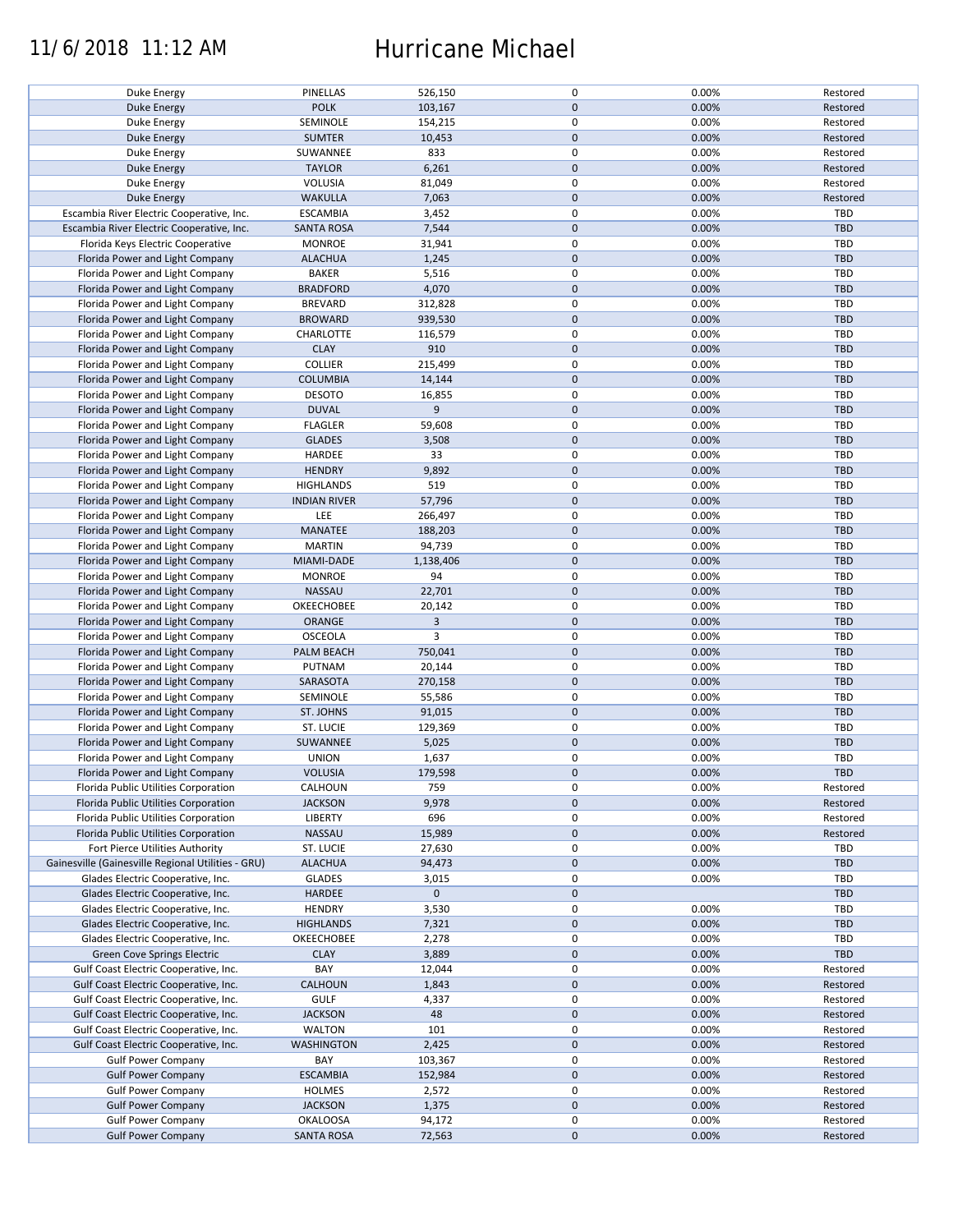### 11/6/2018 11:12 AM Hurricane Michael

| Duke Energy                                        | PINELLAS            | 526,150      | 0            | 0.00% | Restored   |
|----------------------------------------------------|---------------------|--------------|--------------|-------|------------|
|                                                    |                     |              |              |       |            |
| Duke Energy                                        | <b>POLK</b>         | 103,167      | $\mathbf{0}$ | 0.00% | Restored   |
| Duke Energy                                        | SEMINOLE            | 154,215      | 0            | 0.00% | Restored   |
| Duke Energy                                        | <b>SUMTER</b>       | 10,453       | $\mathbf 0$  | 0.00% | Restored   |
| Duke Energy                                        | SUWANNEE            | 833          | $\pmb{0}$    | 0.00% | Restored   |
|                                                    |                     |              |              |       |            |
| Duke Energy                                        | <b>TAYLOR</b>       | 6,261        | $\mathbf 0$  | 0.00% | Restored   |
| Duke Energy                                        | <b>VOLUSIA</b>      | 81,049       | 0            | 0.00% | Restored   |
| <b>Duke Energy</b>                                 | <b>WAKULLA</b>      | 7,063        | $\mathbf 0$  | 0.00% | Restored   |
| Escambia River Electric Cooperative, Inc.          | <b>ESCAMBIA</b>     | 3,452        | $\pmb{0}$    | 0.00% | TBD        |
| Escambia River Electric Cooperative, Inc.          | <b>SANTA ROSA</b>   | 7,544        | $\mathbf 0$  | 0.00% | <b>TBD</b> |
|                                                    |                     |              |              |       |            |
| Florida Keys Electric Cooperative                  | <b>MONROE</b>       | 31,941       | 0            | 0.00% | TBD        |
| Florida Power and Light Company                    | <b>ALACHUA</b>      | 1,245        | $\mathbf 0$  | 0.00% | <b>TBD</b> |
| Florida Power and Light Company                    | <b>BAKER</b>        | 5,516        | $\pmb{0}$    | 0.00% | TBD        |
| Florida Power and Light Company                    | <b>BRADFORD</b>     | 4,070        | $\pmb{0}$    | 0.00% | <b>TBD</b> |
|                                                    |                     |              |              |       |            |
| Florida Power and Light Company                    | <b>BREVARD</b>      | 312,828      | 0            | 0.00% | TBD        |
| Florida Power and Light Company                    | <b>BROWARD</b>      | 939,530      | $\mathbf 0$  | 0.00% | <b>TBD</b> |
| Florida Power and Light Company                    | CHARLOTTE           | 116,579      | $\pmb{0}$    | 0.00% | TBD        |
| Florida Power and Light Company                    | <b>CLAY</b>         | 910          | $\mathbf 0$  | 0.00% | TBD        |
|                                                    |                     |              |              |       |            |
| Florida Power and Light Company                    | <b>COLLIER</b>      | 215,499      | 0            | 0.00% | TBD        |
| Florida Power and Light Company                    | <b>COLUMBIA</b>     | 14,144       | $\mathbf 0$  | 0.00% | <b>TBD</b> |
| Florida Power and Light Company                    | <b>DESOTO</b>       | 16,855       | $\pmb{0}$    | 0.00% | TBD        |
| Florida Power and Light Company                    | <b>DUVAL</b>        | 9            | $\mathbf 0$  | 0.00% | <b>TBD</b> |
|                                                    |                     |              |              |       |            |
| Florida Power and Light Company                    | <b>FLAGLER</b>      | 59,608       | 0            | 0.00% | TBD        |
| Florida Power and Light Company                    | <b>GLADES</b>       | 3,508        | $\mathbf 0$  | 0.00% | TBD        |
| Florida Power and Light Company                    | HARDEE              | 33           | $\pmb{0}$    | 0.00% | TBD        |
| Florida Power and Light Company                    | <b>HENDRY</b>       | 9,892        | $\mathbf 0$  | 0.00% | TBD        |
|                                                    |                     |              |              |       |            |
| Florida Power and Light Company                    | <b>HIGHLANDS</b>    | 519          | $\pmb{0}$    | 0.00% | TBD        |
| Florida Power and Light Company                    | <b>INDIAN RIVER</b> | 57,796       | $\mathbf 0$  | 0.00% | <b>TBD</b> |
| Florida Power and Light Company                    | <b>LEE</b>          | 266,497      | $\pmb{0}$    | 0.00% | TBD        |
|                                                    |                     |              |              |       |            |
| Florida Power and Light Company                    | <b>MANATEE</b>      | 188,203      | $\pmb{0}$    | 0.00% | <b>TBD</b> |
| Florida Power and Light Company                    | <b>MARTIN</b>       | 94,739       | 0            | 0.00% | TBD        |
| Florida Power and Light Company                    | MIAMI-DADE          | 1,138,406    | $\mathbf 0$  | 0.00% | <b>TBD</b> |
| Florida Power and Light Company                    | <b>MONROE</b>       | 94           | $\pmb{0}$    | 0.00% | TBD        |
|                                                    |                     |              |              |       |            |
| Florida Power and Light Company                    | <b>NASSAU</b>       | 22,701       | $\pmb{0}$    | 0.00% | <b>TBD</b> |
| Florida Power and Light Company                    | OKEECHOBEE          | 20,142       | $\pmb{0}$    | 0.00% | TBD        |
| Florida Power and Light Company                    | ORANGE              | $\mathbf{3}$ | $\mathbf 0$  | 0.00% | <b>TBD</b> |
| Florida Power and Light Company                    | <b>OSCEOLA</b>      | 3            | 0            | 0.00% | TBD        |
|                                                    |                     |              | $\pmb{0}$    |       | <b>TBD</b> |
| Florida Power and Light Company                    | PALM BEACH          | 750,041      |              | 0.00% |            |
| Florida Power and Light Company                    | PUTNAM              | 20,144       | $\pmb{0}$    | 0.00% | TBD        |
| Florida Power and Light Company                    | SARASOTA            | 270,158      | $\mathbf 0$  | 0.00% | <b>TBD</b> |
| Florida Power and Light Company                    | SEMINOLE            | 55,586       | $\mathbf 0$  | 0.00% | TBD        |
|                                                    |                     |              | $\mathbf 0$  | 0.00% | <b>TBD</b> |
| Florida Power and Light Company                    | ST. JOHNS           | 91,015       |              |       |            |
| Florida Power and Light Company                    | ST. LUCIE           | 129,369      | 0            | 0.00% | TBD        |
| Florida Power and Light Company                    | SUWANNEE            | 5,025        | $\mathbf 0$  | 0.00% | <b>TBD</b> |
| Florida Power and Light Company                    | <b>UNION</b>        | 1,637        | 0            | 0.00% | TBD        |
|                                                    |                     |              | $\mathbf{0}$ |       |            |
| Florida Power and Light Company                    | <b>VOLUSIA</b>      | 179,598      |              | 0.00% | TBD        |
| Florida Public Utilities Corporation               | CALHOUN             | 759          | 0            | 0.00% | Restored   |
| Florida Public Utilities Corporation               | <b>JACKSON</b>      | 9,978        | $\mathbf 0$  | 0.00% | Restored   |
| Florida Public Utilities Corporation               | LIBERTY             | 696          | 0            | 0.00% | Restored   |
| Florida Public Utilities Corporation               | <b>NASSAU</b>       | 15,989       | $\mathbf 0$  | 0.00% | Restored   |
|                                                    |                     |              |              |       |            |
| Fort Pierce Utilities Authority                    | ST. LUCIE           | 27,630       | 0            | 0.00% | TBD        |
| Gainesville (Gainesville Regional Utilities - GRU) | <b>ALACHUA</b>      | 94,473       | $\mathbf 0$  | 0.00% | TBD        |
| Glades Electric Cooperative, Inc.                  | <b>GLADES</b>       | 3,015        | 0            | 0.00% | TBD        |
| Glades Electric Cooperative, Inc.                  | HARDEE              | $\mathbf 0$  | $\mathbf 0$  |       | TBD        |
|                                                    |                     |              |              |       |            |
| Glades Electric Cooperative, Inc.                  | <b>HENDRY</b>       | 3,530        | 0            | 0.00% | TBD        |
| Glades Electric Cooperative, Inc.                  | <b>HIGHLANDS</b>    | 7,321        | $\mathbf 0$  | 0.00% | TBD        |
| Glades Electric Cooperative, Inc.                  | <b>OKEECHOBEE</b>   | 2,278        | 0            | 0.00% | TBD        |
| <b>Green Cove Springs Electric</b>                 | <b>CLAY</b>         | 3,889        | $\mathbf 0$  | 0.00% | TBD        |
|                                                    |                     |              |              |       |            |
| Gulf Coast Electric Cooperative, Inc.              | BAY                 | 12,044       | 0            | 0.00% | Restored   |
| Gulf Coast Electric Cooperative, Inc.              | CALHOUN             | 1,843        | $\mathbf 0$  | 0.00% | Restored   |
| Gulf Coast Electric Cooperative, Inc.              | <b>GULF</b>         | 4,337        | 0            | 0.00% | Restored   |
| Gulf Coast Electric Cooperative, Inc.              | <b>JACKSON</b>      | 48           | $\pmb{0}$    | 0.00% | Restored   |
|                                                    |                     |              |              |       |            |
| Gulf Coast Electric Cooperative, Inc.              | <b>WALTON</b>       | 101          | $\pmb{0}$    | 0.00% | Restored   |
| Gulf Coast Electric Cooperative, Inc.              | <b>WASHINGTON</b>   | 2,425        | $\pmb{0}$    | 0.00% | Restored   |
| <b>Gulf Power Company</b>                          | BAY                 | 103,367      | 0            | 0.00% | Restored   |
| <b>Gulf Power Company</b>                          | <b>ESCAMBIA</b>     | 152,984      | $\pmb{0}$    | 0.00% | Restored   |
|                                                    |                     |              | 0            |       |            |
| <b>Gulf Power Company</b>                          | <b>HOLMES</b>       | 2,572        |              | 0.00% | Restored   |
| <b>Gulf Power Company</b>                          | <b>JACKSON</b>      | 1,375        | $\mathbf 0$  | 0.00% | Restored   |
| <b>Gulf Power Company</b>                          | <b>OKALOOSA</b>     | 94,172       | 0            | 0.00% | Restored   |
| <b>Gulf Power Company</b>                          | <b>SANTA ROSA</b>   | 72,563       | $\mathbf 0$  | 0.00% | Restored   |
|                                                    |                     |              |              |       |            |